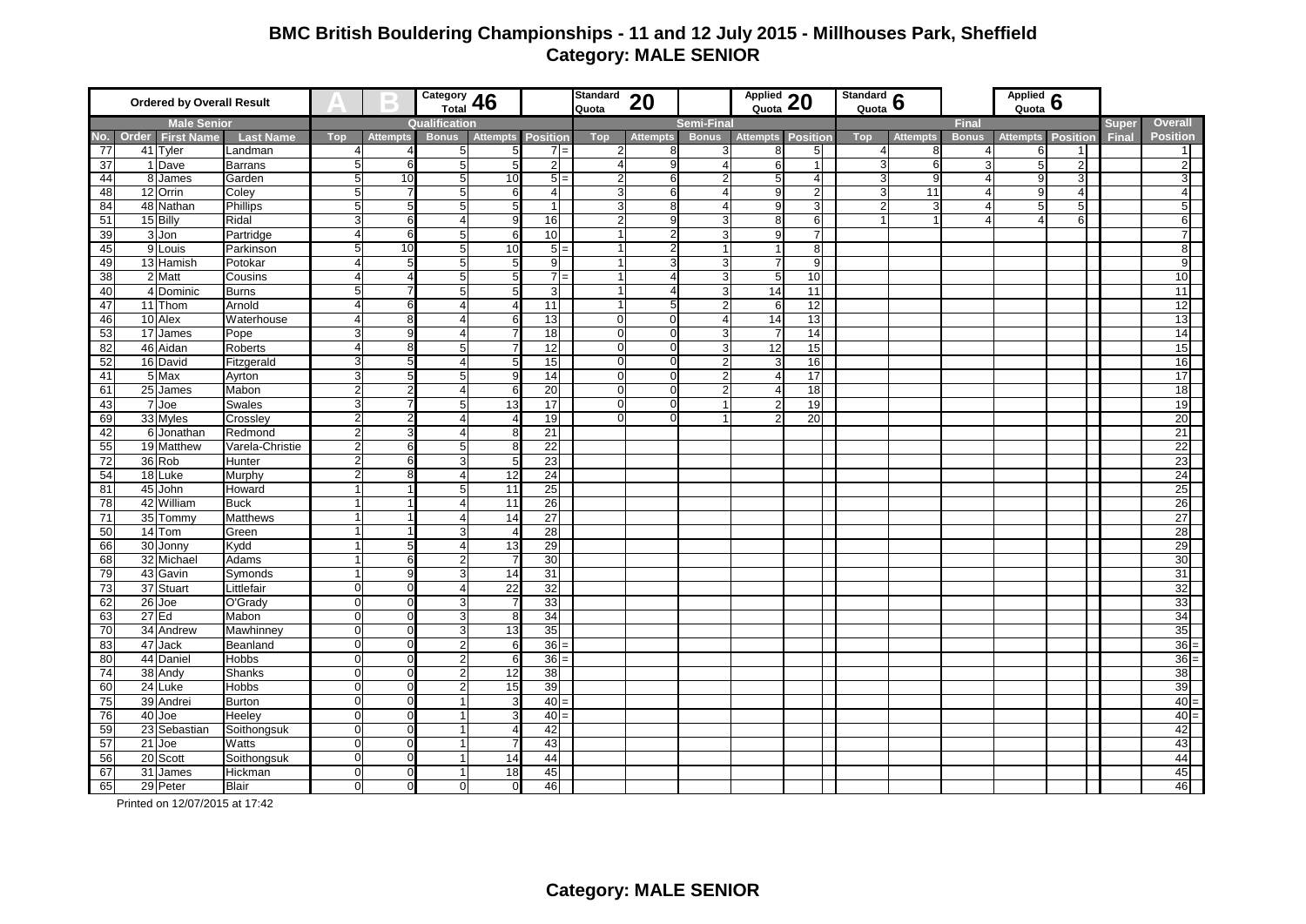## **BMC British Bouldering Championships - 11 and 12 July 2015 - Millhouses Park, Sheffield Category: MALE SENIOR**

| <b>Ordered by Overall Result</b> |                                |                  | $\Box$                | $\frac{\text{Category}}{\text{Total}}$ 46 |                  |                 | <b>Standard</b><br>Quota | 20             |                 | Applied 20        |                       | Standard $\frac{6}{2}$<br>Quota |                |                 | Applied $6$           |                 |                 |              |                 |
|----------------------------------|--------------------------------|------------------|-----------------------|-------------------------------------------|------------------|-----------------|--------------------------|----------------|-----------------|-------------------|-----------------------|---------------------------------|----------------|-----------------|-----------------------|-----------------|-----------------|--------------|-----------------|
| <b>Male Senior</b>               |                                |                  |                       |                                           | Qualification    |                 |                          |                |                 | <b>Semi-Final</b> |                       |                                 |                |                 | <b>Final</b>          |                 |                 | <b>Super</b> | <b>Overall</b>  |
|                                  | No. Order<br><b>First Name</b> | <b>Last Name</b> | Top                   | <b>Attempts</b>                           | <b>Bonus</b>     | <b>Attempts</b> | <b>Position</b>          | <b>Top</b>     | <b>Attempts</b> | <b>Bonus</b>      | <b>Attempts</b>       | <b>Position</b>                 | Top            | <b>Attempts</b> | <b>Bonus</b>          | <b>Attempts</b> | <b>Position</b> | <b>Final</b> | <b>Position</b> |
| 77                               | 41 Tyler                       | Landman          |                       |                                           | 5                | 5               | $7 =$                    | 2              |                 | 3                 | 8                     | 5 <sup>1</sup>                  |                |                 |                       |                 | 1               |              | 11              |
| 37                               | 1 Dave                         | <b>Barrans</b>   | 5                     | 6                                         | 5                | 5               | $\overline{2}$           | 4              | 9               | $\overline{4}$    | 6                     |                                 | 3              |                 |                       |                 | $\overline{2}$  |              | 2 <sup>1</sup>  |
| 44                               | 8 James                        | Garden           | 5                     | 10                                        | 5                | 10              | $5 =$                    | $\overline{2}$ | 6               | $\overline{2}$    | 5                     | $\overline{a}$                  | 3              | a               | $\overline{4}$        |                 | 3 <sup>1</sup>  |              | $3\overline{1}$ |
| 48                               | 12 Orrin                       | Coley            | 5                     |                                           | 5                | 6               | $\overline{4}$           | 3              | 6               | $\overline{4}$    | 9                     | $\overline{2}$                  | 3              | 11              | $\overline{4}$        |                 | $\overline{4}$  |              | 4 <sup>1</sup>  |
| 84                               | 48 Nathan                      | <b>Phillips</b>  | 5                     | 5                                         | 5                | 5               | $\mathbf{1}$             | 3              | ۶               | $\overline{4}$    | 9                     | 3                               | $\overline{2}$ |                 | $\overline{4}$        |                 | 5               |              | 5               |
| 51                               | 15 Billy                       | Ridal            | ω                     | 6                                         | $\overline{4}$   | 9               | 16                       | $\overline{2}$ |                 | 3                 | 8                     | 6                               |                |                 | $\boldsymbol{\Delta}$ |                 | 6               |              | 6               |
| 39                               | 3 Jon                          | Partridge        | $\overline{4}$        | 6                                         | $\overline{5}$   | 6               | 10                       |                |                 | 3                 | $\mathbf{q}$          |                                 |                |                 |                       |                 |                 |              | 71              |
| 45                               | 9 Louis                        | Parkinson        | 5                     | 10                                        | $\sqrt{5}$       | 10              | $5 =$                    |                |                 |                   |                       | 8                               |                |                 |                       |                 |                 |              | $\infty$        |
| 49                               | 13 Hamish                      | Potokar          | $\overline{4}$        | 5                                         | $\overline{5}$   | 5               | 9                        |                |                 | 3                 |                       | 9                               |                |                 |                       |                 |                 |              | $\overline{9}$  |
| 38                               | 2 Matt                         | Cousins          | $\overline{4}$        |                                           | 5                | 5               | $7 =$                    |                |                 | 3                 | 5                     | 10                              |                |                 |                       |                 |                 |              | 10              |
| 40                               | 4 Dominic                      | <b>Burns</b>     | 5                     |                                           | $\overline{5}$   | 5               | 3                        |                |                 | 3                 | 14                    | 11                              |                |                 |                       |                 |                 |              | 11              |
| 47                               | 11 Thom                        | Arnold           | $\overline{4}$        | 6                                         | $\overline{4}$   | 4               | 11                       |                |                 | $\overline{2}$    | 6                     | 12                              |                |                 |                       |                 |                 |              | 12              |
| 46                               | 10 Alex                        | Waterhouse       | $\overline{4}$        | 8                                         | $\overline{4}$   | 6               | 13                       | $\mathbf 0$    | $\Omega$        | $\overline{4}$    | 14                    | 13                              |                |                 |                       |                 |                 |              | 13              |
| 53                               | 17 James                       | Pope             | 3                     | <sub>9</sub>                              | $\overline{4}$   | 7               | $\overline{18}$          | $\mathbf 0$    | $\Omega$        | 3                 | $\overline{7}$        | 14                              |                |                 |                       |                 |                 |              | 14              |
| 82                               | 46 Aidan                       | Roberts          | $\boldsymbol{\Delta}$ | 8                                         | 5                | 7               | 12                       | $\overline{0}$ | C               | 3                 | 12                    | 15                              |                |                 |                       |                 |                 |              | 15              |
| 52                               | 16 David                       | Fitzgerald       | 3                     | 5                                         | 4                | 5               | 15                       | $\mathbf 0$    | $\Omega$        | $\overline{2}$    | 3                     | 16                              |                |                 |                       |                 |                 |              | 16              |
| 41                               | 5 Max                          | Ayrton           | 3                     | 5                                         | $\sqrt{5}$       | 9               | 14                       | $\Omega$       | C               | $\overline{2}$    | $\boldsymbol{\Delta}$ | 17                              |                |                 |                       |                 |                 |              | 17              |
| 61                               | 25 James                       | Mabon            | $\overline{c}$        | 2                                         | 4                | 6               | $\overline{20}$          | $\mathbf 0$    | $\Omega$        | $\overline{2}$    | $\overline{4}$        | 18                              |                |                 |                       |                 |                 |              | 18              |
| 43                               | $\overline{7}$<br>Joe          | <b>Swales</b>    | 3                     |                                           | 5                | 13              | 17                       | $\Omega$       | U               | $\overline{1}$    | 2                     | 19                              |                |                 |                       |                 |                 |              | 19              |
| 69                               | 33 Myles                       | Crossley         | $\overline{2}$        | 2                                         | 4                | $\overline{4}$  | 19                       | $\Omega$       |                 |                   |                       | 20                              |                |                 |                       |                 |                 |              | 20              |
| 42                               | 6 Jonathan                     | Redmond          | $\overline{2}$        | 3                                         | $\overline{4}$   | 8               | 21                       |                |                 |                   |                       |                                 |                |                 |                       |                 |                 |              | 21              |
| 55                               | 19 Matthew                     | Varela-Christie  | $\overline{2}$        | 6                                         | 5                | 8               | 22                       |                |                 |                   |                       |                                 |                |                 |                       |                 |                 |              | 22              |
| 72                               | 36 Rob                         | Hunter           | $\overline{2}$        | 6                                         | 3                | 5               | 23                       |                |                 |                   |                       |                                 |                |                 |                       |                 |                 |              | 23              |
| 54                               | 18 Luke                        | Murphy           | $\overline{2}$        | 8                                         | 4                | 12              | $\overline{24}$          |                |                 |                   |                       |                                 |                |                 |                       |                 |                 |              | 24              |
| 81                               | 45 John                        | Howard           |                       |                                           | 5                | 11              | 25                       |                |                 |                   |                       |                                 |                |                 |                       |                 |                 |              | 25              |
| 78                               | 42 William                     | <b>Buck</b>      |                       |                                           | $\overline{4}$   | 11              | 26                       |                |                 |                   |                       |                                 |                |                 |                       |                 |                 |              | 26              |
| 71                               | 35 Tommy                       | Matthews         |                       |                                           | $\overline{4}$   | 14              | 27                       |                |                 |                   |                       |                                 |                |                 |                       |                 |                 |              | 27              |
| 50                               | 14 Tom                         | Green            |                       |                                           | 3                | $\overline{4}$  | 28                       |                |                 |                   |                       |                                 |                |                 |                       |                 |                 |              | 28              |
|                                  | 30 Jonny                       | Kydd             |                       | 5                                         | $\overline{4}$   | 13              | 29                       |                |                 |                   |                       |                                 |                |                 |                       |                 |                 |              | 29              |
| 66                               |                                |                  |                       | 6                                         |                  |                 |                          |                |                 |                   |                       |                                 |                |                 |                       |                 |                 |              | 30              |
| 68                               | 32 Michael                     | Adams            |                       |                                           | $\overline{2}$   | $\overline{7}$  | 30                       |                |                 |                   |                       |                                 |                |                 |                       |                 |                 |              |                 |
| 79                               | 43 Gavin                       | Symonds          |                       | 9                                         | 3                | 14              | 31                       |                |                 |                   |                       |                                 |                |                 |                       |                 |                 |              | 31              |
| 73                               | 37 Stuart                      | Littlefair       | $\mathbf 0$           | $\mathbf 0$                               | $\overline{4}$   | 22              | 32                       |                |                 |                   |                       |                                 |                |                 |                       |                 |                 |              | 32              |
| 62                               | $26$ Joe                       | O'Grady          | $\mathbf 0$           | $\Omega$                                  | 3                | $\overline{7}$  | 33                       |                |                 |                   |                       |                                 |                |                 |                       |                 |                 |              | 33              |
| 63                               | $27$ Ed                        | Mabon            | $\mathbf 0$           | $\mathbf 0$                               | $\overline{3}$   | $\overline{8}$  | 34                       |                |                 |                   |                       |                                 |                |                 |                       |                 |                 |              | 34              |
| 70                               | 34 Andrew                      | Mawhinney        | $\mathbf 0$           | $\mathbf 0$                               | 3                | 13              | 35                       |                |                 |                   |                       |                                 |                |                 |                       |                 |                 |              | 35              |
| 83                               | 47 Jack                        | Beanland         | $\mathbf 0$           | $\Omega$                                  | $\sqrt{2}$       | $\,6$           | $36 =$                   |                |                 |                   |                       |                                 |                |                 |                       |                 |                 |              | $36 =$          |
| 80                               | 44 Daniel                      | <b>Hobbs</b>     | $\mathbf 0$           | $\Omega$                                  | $\boldsymbol{2}$ | 6               | 36                       |                |                 |                   |                       |                                 |                |                 |                       |                 |                 |              | $36 =$          |
| 74                               | 38 Andy                        | <b>Shanks</b>    | $\Omega$              | $\Omega$                                  | $\overline{2}$   | 12              | 38                       |                |                 |                   |                       |                                 |                |                 |                       |                 |                 |              | 38              |
| 60                               | 24 Luke                        | <b>Hobbs</b>     | $\mathbf 0$           | $\Omega$                                  | $\overline{2}$   | 15              | 39                       |                |                 |                   |                       |                                 |                |                 |                       |                 |                 |              | 39              |
| 75                               | 39 Andrei                      | <b>Burton</b>    | $\Omega$              | $\Omega$                                  |                  | 3               | 40                       |                |                 |                   |                       |                                 |                |                 |                       |                 |                 |              | $40 =$          |
| 76                               | 40 Joe                         | Heeley           | $\mathbf 0$           | $\Omega$                                  |                  |                 | 40                       |                |                 |                   |                       |                                 |                |                 |                       |                 |                 |              | $40 =$          |
| 59                               | 23 Sebastian                   | Soithongsuk      | $\Omega$              | $\Omega$                                  |                  |                 | 42                       |                |                 |                   |                       |                                 |                |                 |                       |                 |                 |              | 42              |
| 57                               | $21$ Joe                       | Watts            | $\mathbf 0$           | $\mathbf 0$                               |                  |                 | 43                       |                |                 |                   |                       |                                 |                |                 |                       |                 |                 |              | 43              |
| 56                               | 20 Scott                       | Soithongsuk      | $\mathbf{O}$          | $\Omega$                                  |                  | 14              | 44                       |                |                 |                   |                       |                                 |                |                 |                       |                 |                 |              | 44              |
| 67                               | 31 James                       | Hickman          | $\mathbf 0$           | $\mathbf 0$                               |                  | 18              | 45                       |                |                 |                   |                       |                                 |                |                 |                       |                 |                 |              | 45              |
| 65                               | 29 Peter                       | <b>Blair</b>     | $\mathbf 0$           | $\mathbf 0$                               | $\Omega$         | $\Omega$        | 46                       |                |                 |                   |                       |                                 |                |                 |                       |                 |                 |              | 46              |

Printed on 12/07/2015 at 17:42 $2 \left( \frac{1}{2} \right)$